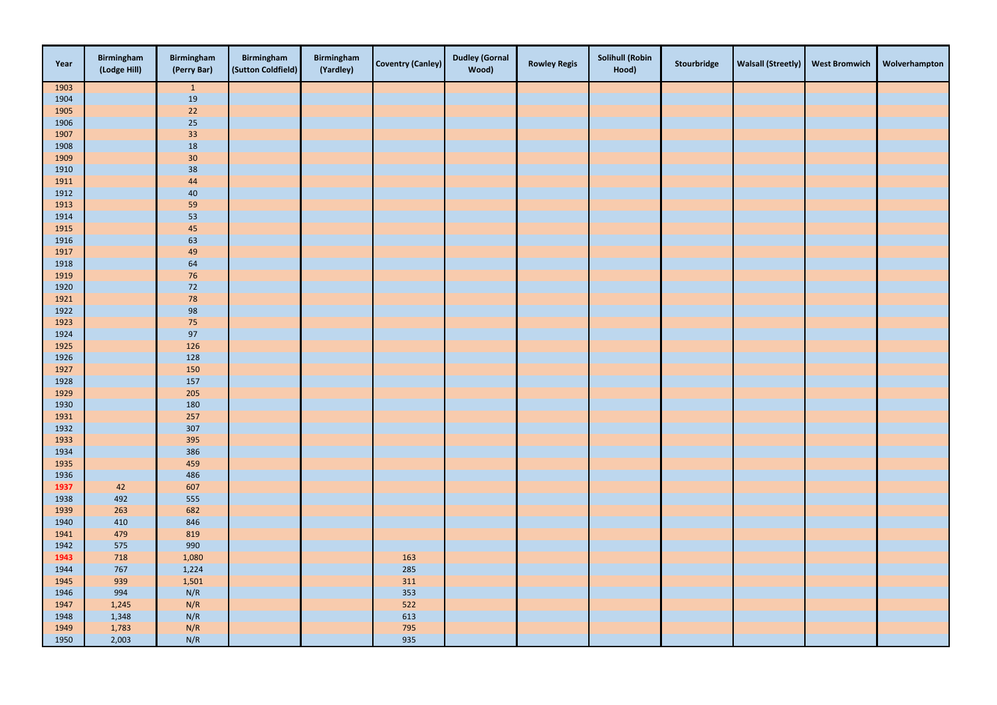| 1903<br>$\vert$ 1<br>1904<br>19<br>$22$<br>1905 |  |
|-------------------------------------------------|--|
|                                                 |  |
|                                                 |  |
|                                                 |  |
| $25\phantom{.0}$<br>1906                        |  |
| 1907<br>33                                      |  |
| 18<br>1908                                      |  |
| $30\,$<br>1909                                  |  |
| 38<br>1910                                      |  |
| 44<br>1911                                      |  |
| 1912<br>$40\,$                                  |  |
| 1913<br>59                                      |  |
| $\frac{53}{45}$<br>1914                         |  |
| 1915                                            |  |
| 1916<br>63                                      |  |
| 49<br>1917                                      |  |
| 1918<br>64                                      |  |
| 1919<br>$76\,$                                  |  |
| 1920<br>$\frac{72}{ }$                          |  |
| 78<br>1921                                      |  |
| 1922<br>98                                      |  |
| $75\,$<br>1923                                  |  |
| 97<br>1924                                      |  |
| 1925<br>126                                     |  |
| 1926<br>128                                     |  |
| 1927<br>150                                     |  |
| 1928<br>157                                     |  |
| 1929<br>205                                     |  |
| 180<br>1930                                     |  |
| 1931<br>257                                     |  |
| 1932<br>307                                     |  |
| 1933<br>395                                     |  |
| 1934<br>386<br>1935<br>459                      |  |
| 1936<br>486                                     |  |
| 607<br>1937<br>42                               |  |
| 1938<br>492<br>555                              |  |
| 1939<br>263<br>682                              |  |
| 410<br>1940<br>846                              |  |
| 479<br>1941<br>819                              |  |
| 1942<br>575<br>990                              |  |
| 718<br>163<br>1943<br>1,080                     |  |
| 285<br>1944<br>767<br>1,224                     |  |
| 939<br>311<br>1945<br>1,501                     |  |
| N/R<br>353<br>994<br>1946                       |  |
| N/R<br>522<br>1947<br>1,245                     |  |
| N/R<br>613<br>1948<br>1,348                     |  |
| 1,783<br>N/R<br>795<br>1949                     |  |
| 1950<br>2,003<br>N/R<br>935                     |  |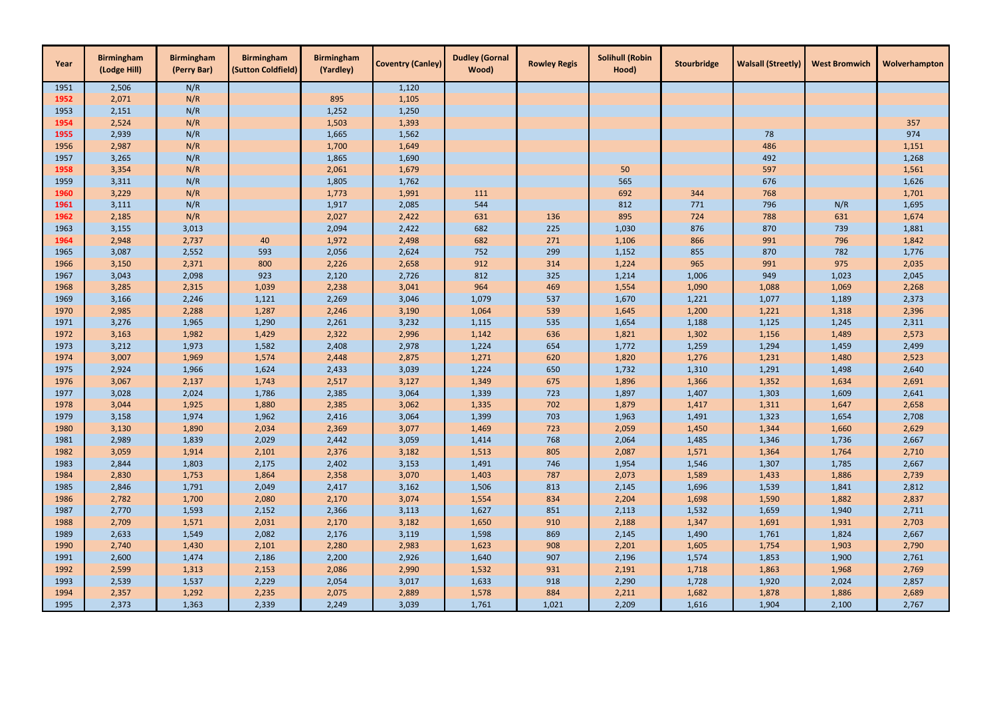| Year | <b>Birmingham</b><br>(Lodge Hill) | <b>Birmingham</b><br>(Perry Bar) | <b>Birmingham</b><br>(Sutton Coldfield) | <b>Birmingham</b><br>(Yardley) | <b>Coventry (Canley)</b> | <b>Dudley (Gornal</b><br>Wood) | <b>Rowley Regis</b> | <b>Solihull (Robin</b><br>Hood) | Stourbridge | <b>Walsall (Streetly)</b> | <b>West Bromwich</b> | Wolverhampton |
|------|-----------------------------------|----------------------------------|-----------------------------------------|--------------------------------|--------------------------|--------------------------------|---------------------|---------------------------------|-------------|---------------------------|----------------------|---------------|
| 1951 | 2,506                             | N/R                              |                                         |                                | 1,120                    |                                |                     |                                 |             |                           |                      |               |
| 1952 | 2,071                             | N/R                              |                                         | 895                            | 1,105                    |                                |                     |                                 |             |                           |                      |               |
| 1953 | 2,151                             | N/R                              |                                         | 1,252                          | 1,250                    |                                |                     |                                 |             |                           |                      |               |
| 1954 | 2,524                             | N/R                              |                                         | 1,503                          | 1,393                    |                                |                     |                                 |             |                           |                      | 357           |
| 1955 | 2,939                             | N/R                              |                                         | 1,665                          | 1,562                    |                                |                     |                                 |             | 78                        |                      | 974           |
| 1956 | 2,987                             | N/R                              |                                         | 1,700                          | 1,649                    |                                |                     |                                 |             | 486                       |                      | 1,151         |
| 1957 | 3,265                             | N/R                              |                                         | 1,865                          | 1,690                    |                                |                     |                                 |             | 492                       |                      | 1,268         |
| 1958 | 3,354                             | N/R                              |                                         | 2,061                          | 1,679                    |                                |                     | 50                              |             | 597                       |                      | 1,561         |
| 1959 | 3,311                             | N/R                              |                                         | 1,805                          | 1,762                    |                                |                     | 565                             |             | 676                       |                      | 1,626         |
| 1960 | 3,229                             | N/R                              |                                         | 1,773                          | 1,991                    | 111                            |                     | 692                             | 344         | 768                       |                      | 1,701         |
| 1961 | 3,111                             | N/R                              |                                         | 1,917                          | 2,085                    | 544                            |                     | 812                             | 771         | 796                       | N/R                  | 1,695         |
| 1962 | 2,185                             | N/R                              |                                         | 2,027                          | 2,422                    | 631                            | 136                 | 895                             | 724         | 788                       | 631                  | 1,674         |
| 1963 | 3,155                             | 3,013                            |                                         | 2,094                          | 2,422                    | 682                            | 225                 | 1,030                           | 876         | 870                       | 739                  | 1,881         |
| 1964 | 2,948                             | 2,737                            | 40                                      | 1,972                          | 2,498                    | 682                            | 271                 | 1,106                           | 866         | 991                       | 796                  | 1,842         |
| 1965 | 3,087                             | 2,552                            | 593                                     | 2,056                          | 2,624                    | 752                            | 299                 | 1,152                           | 855         | 870                       | 782                  | 1,776         |
| 1966 | 3,150                             | 2,371                            | 800                                     | 2,226                          | 2,658                    | 912                            | 314                 | 1,224                           | 965         | 991                       | 975                  | 2,035         |
| 1967 | 3,043                             | 2,098                            | 923                                     | 2,120                          | 2,726                    | 812                            | 325                 | 1,214                           | 1,006       | 949                       | 1,023                | 2,045         |
| 1968 | 3,285                             | 2,315                            | 1,039                                   | 2,238                          | 3,041                    | 964                            | 469                 | 1,554                           | 1,090       | 1,088                     | 1,069                | 2,268         |
| 1969 | 3,166                             | 2,246                            | 1,121                                   | 2,269                          | 3,046                    | 1,079                          | 537                 | 1,670                           | 1,221       | 1,077                     | 1,189                | 2,373         |
| 1970 | 2,985                             | 2,288                            | 1,287                                   | 2,246                          | 3,190                    | 1,064                          | 539                 | 1,645                           | 1,200       | 1,221                     | 1,318                | 2,396         |
| 1971 | 3,276                             | 1,965                            | 1,290                                   | 2,261                          | 3,232                    | 1,115                          | 535                 | 1,654                           | 1,188       | 1,125                     | 1,245                | 2,311         |
| 1972 | 3,163                             | 1,982                            | 1,429                                   | 2,322                          | 2,996                    | 1,142                          | 636                 | 1,821                           | 1,302       | 1,156                     | 1,489                | 2,573         |
| 1973 | 3,212                             | 1,973                            | 1,582                                   | 2,408                          | 2,978                    | 1,224                          | 654                 | 1,772                           | 1,259       | 1,294                     | 1,459                | 2,499         |
| 1974 | 3,007                             | 1,969                            | 1,574                                   | 2,448                          | 2,875                    | 1,271                          | 620                 | 1,820                           | 1,276       | 1,231                     | 1,480                | 2,523         |
| 1975 | 2,924                             | 1,966                            | 1,624                                   | 2,433                          | 3,039                    | 1,224                          | 650                 | 1,732                           | 1,310       | 1,291                     | 1,498                | 2,640         |
| 1976 | 3,067                             | 2,137                            | 1,743                                   | 2,517                          | 3,127                    | 1,349                          | 675                 | 1,896                           | 1,366       | 1,352                     | 1,634                | 2,691         |
| 1977 | 3,028                             | 2,024                            | 1,786                                   | 2,385                          | 3,064                    | 1,339                          | 723                 | 1,897                           | 1,407       | 1,303                     | 1,609                | 2,641         |
| 1978 | 3,044                             | 1,925                            | 1,880                                   | 2,385                          | 3,062                    | 1,335                          | 702                 | 1,879                           | 1,417       | 1,311                     | 1,647                | 2,658         |
| 1979 | 3,158                             | 1,974                            | 1,962                                   | 2,416                          | 3,064                    | 1,399                          | 703                 | 1,963                           | 1,491       | 1,323                     | 1,654                | 2,708         |
| 1980 | 3,130                             | 1,890                            | 2,034                                   | 2,369                          | 3,077                    | 1,469                          | 723                 | 2,059                           | 1,450       | 1,344                     | 1,660                | 2,629         |
| 1981 | 2,989                             | 1,839                            | 2,029                                   | 2,442                          | 3,059                    | 1,414                          | 768                 | 2,064                           | 1,485       | 1,346                     | 1,736                | 2,667         |
| 1982 | 3,059                             | 1,914                            | 2,101                                   | 2,376                          | 3,182                    | 1,513                          | 805                 | 2,087                           | 1,571       | 1,364                     | 1,764                | 2,710         |
| 1983 | 2,844                             | 1,803                            | 2,175                                   | 2,402                          | 3,153                    | 1,491                          | 746                 | 1,954                           | 1,546       | 1,307                     | 1,785                | 2,667         |
| 1984 | 2,830                             | 1,753                            | 1,864                                   | 2,358                          | 3,070                    | 1,403                          | 787                 | 2,073                           | 1,589       | 1,433                     | 1,886                | 2,739         |
| 1985 | 2,846                             | 1,791                            | 2,049                                   | 2,417                          | 3,162                    | 1,506                          | 813                 | 2,145                           | 1,696       | 1,539                     | 1,841                | 2,812         |
| 1986 | 2,782                             | 1,700                            | 2,080                                   | 2,170                          | 3,074                    | 1,554                          | 834                 | 2,204                           | 1,698       | 1,590                     | 1,882                | 2,837         |
| 1987 | 2,770                             | 1,593                            | 2,152                                   | 2,366                          | 3,113                    | 1,627                          | 851                 | 2,113                           | 1,532       | 1,659                     | 1,940                | 2,711         |
| 1988 | 2,709                             | 1,571                            | 2,031                                   | 2,170                          | 3,182                    | 1,650                          | 910                 | 2,188                           | 1,347       | 1,691                     | 1,931                | 2,703         |
| 1989 | 2,633                             | 1,549                            | 2,082                                   | 2,176                          | 3,119                    | 1,598                          | 869                 | 2,145                           | 1,490       | 1,761                     | 1,824                | 2,667         |
| 1990 | 2,740                             | 1,430                            | 2,101                                   | 2,280                          | 2,983                    | 1,623                          | 908                 | 2,201                           | 1,605       | 1,754                     | 1,903                | 2,790         |
| 1991 | 2,600                             | 1,474                            | 2,186                                   | 2,200                          | 2,926                    | 1,640                          | 907                 | 2,196                           | 1,574       | 1,853                     | 1,900                | 2,761         |
| 1992 | 2,599                             | 1,313                            | 2,153                                   | 2,086                          | 2,990                    | 1,532                          | 931                 | 2,191                           | 1,718       | 1,863                     | 1,968                | 2,769         |
| 1993 | 2,539                             | 1,537                            | 2,229                                   | 2,054                          | 3,017                    | 1,633                          | 918                 | 2,290                           | 1,728       | 1,920                     | 2,024                | 2,857         |
| 1994 | 2,357                             | 1,292                            | 2,235                                   | 2,075                          | 2,889                    | 1,578                          | 884                 | 2,211                           | 1,682       | 1,878                     | 1,886                | 2,689         |
| 1995 | 2,373                             | 1,363                            | 2,339                                   | 2,249                          | 3,039                    | 1,761                          | 1,021               | 2,209                           | 1,616       | 1,904                     | 2,100                | 2,767         |